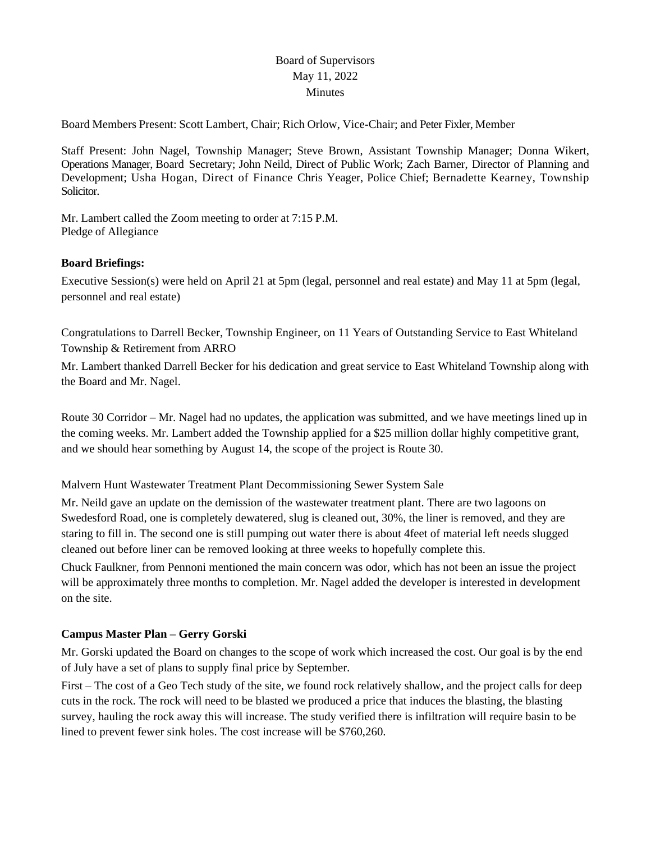# Board of Supervisors May 11, 2022 Minutes

Board Members Present: Scott Lambert, Chair; Rich Orlow, Vice-Chair; and Peter Fixler, Member

Staff Present: John Nagel, Township Manager; Steve Brown, Assistant Township Manager; Donna Wikert, Operations Manager, Board Secretary; John Neild, Direct of Public Work; Zach Barner, Director of Planning and Development; Usha Hogan, Direct of Finance Chris Yeager, Police Chief; Bernadette Kearney, Township Solicitor.

Mr. Lambert called the Zoom meeting to order at 7:15 P.M. Pledge of Allegiance

## **Board Briefings:**

Executive Session(s) were held on April 21 at 5pm (legal, personnel and real estate) and May 11 at 5pm (legal, personnel and real estate)

Congratulations to Darrell Becker, Township Engineer, on 11 Years of Outstanding Service to East Whiteland Township & Retirement from ARRO

Mr. Lambert thanked Darrell Becker for his dedication and great service to East Whiteland Township along with the Board and Mr. Nagel.

Route 30 Corridor – Mr. Nagel had no updates, the application was submitted, and we have meetings lined up in the coming weeks. Mr. Lambert added the Township applied for a \$25 million dollar highly competitive grant, and we should hear something by August 14, the scope of the project is Route 30.

Malvern Hunt Wastewater Treatment Plant Decommissioning Sewer System Sale

Mr. Neild gave an update on the demission of the wastewater treatment plant. There are two lagoons on Swedesford Road, one is completely dewatered, slug is cleaned out, 30%, the liner is removed, and they are staring to fill in. The second one is still pumping out water there is about 4feet of material left needs slugged cleaned out before liner can be removed looking at three weeks to hopefully complete this.

Chuck Faulkner, from Pennoni mentioned the main concern was odor, which has not been an issue the project will be approximately three months to completion. Mr. Nagel added the developer is interested in development on the site.

## **Campus Master Plan – Gerry Gorski**

Mr. Gorski updated the Board on changes to the scope of work which increased the cost. Our goal is by the end of July have a set of plans to supply final price by September.

First – The cost of a Geo Tech study of the site, we found rock relatively shallow, and the project calls for deep cuts in the rock. The rock will need to be blasted we produced a price that induces the blasting, the blasting survey, hauling the rock away this will increase. The study verified there is infiltration will require basin to be lined to prevent fewer sink holes. The cost increase will be \$760,260.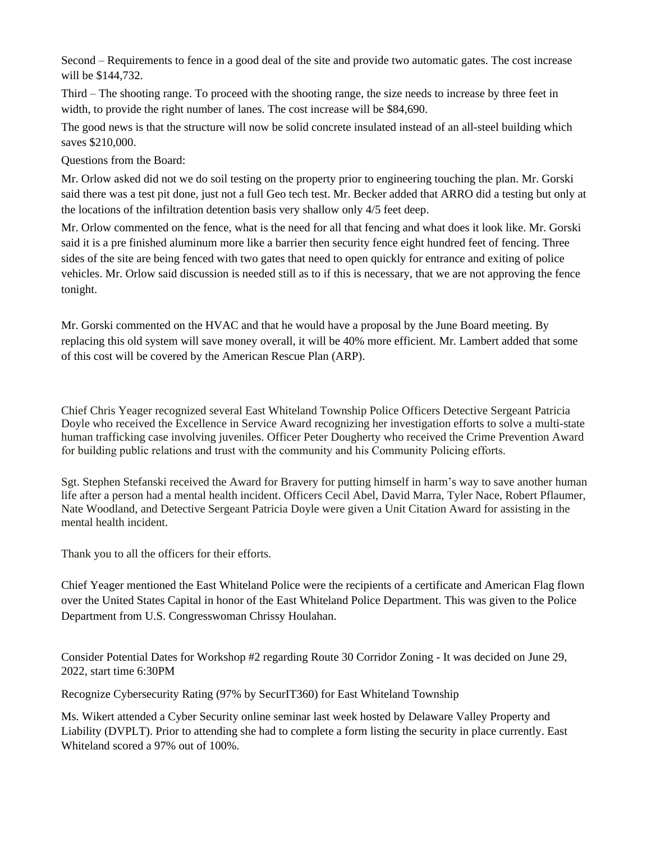Second – Requirements to fence in a good deal of the site and provide two automatic gates. The cost increase will be \$144,732.

Third – The shooting range. To proceed with the shooting range, the size needs to increase by three feet in width, to provide the right number of lanes. The cost increase will be \$84,690.

The good news is that the structure will now be solid concrete insulated instead of an all-steel building which saves \$210,000.

Questions from the Board:

Mr. Orlow asked did not we do soil testing on the property prior to engineering touching the plan. Mr. Gorski said there was a test pit done, just not a full Geo tech test. Mr. Becker added that ARRO did a testing but only at the locations of the infiltration detention basis very shallow only 4/5 feet deep.

Mr. Orlow commented on the fence, what is the need for all that fencing and what does it look like. Mr. Gorski said it is a pre finished aluminum more like a barrier then security fence eight hundred feet of fencing. Three sides of the site are being fenced with two gates that need to open quickly for entrance and exiting of police vehicles. Mr. Orlow said discussion is needed still as to if this is necessary, that we are not approving the fence tonight.

Mr. Gorski commented on the HVAC and that he would have a proposal by the June Board meeting. By replacing this old system will save money overall, it will be 40% more efficient. Mr. Lambert added that some of this cost will be covered by the American Rescue Plan (ARP).

Chief Chris Yeager recognized several East Whiteland Township Police Officers Detective Sergeant Patricia Doyle who received the Excellence in Service Award recognizing her investigation efforts to solve a multi-state human trafficking case involving juveniles. Officer Peter Dougherty who received the Crime Prevention Award for building public relations and trust with the community and his Community Policing efforts.

Sgt. Stephen Stefanski received the Award for Bravery for putting himself in harm's way to save another human life after a person had a mental health incident. Officers Cecil Abel, David Marra, Tyler Nace, Robert Pflaumer, Nate Woodland, and Detective Sergeant Patricia Doyle were given a Unit Citation Award for assisting in the mental health incident.

Thank you to all the officers for their efforts.

Chief Yeager mentioned the East Whiteland Police were the recipients of a certificate and American Flag flown over the United States Capital in honor of the East Whiteland Police Department. This was given to the Police Department from U.S. Congresswoman Chrissy Houlahan.

Consider Potential Dates for Workshop #2 regarding Route 30 Corridor Zoning - It was decided on June 29, 2022, start time 6:30PM

Recognize Cybersecurity Rating (97% by SecurIT360) for East Whiteland Township

Ms. Wikert attended a Cyber Security online seminar last week hosted by Delaware Valley Property and Liability (DVPLT). Prior to attending she had to complete a form listing the security in place currently. East Whiteland scored a 97% out of 100%.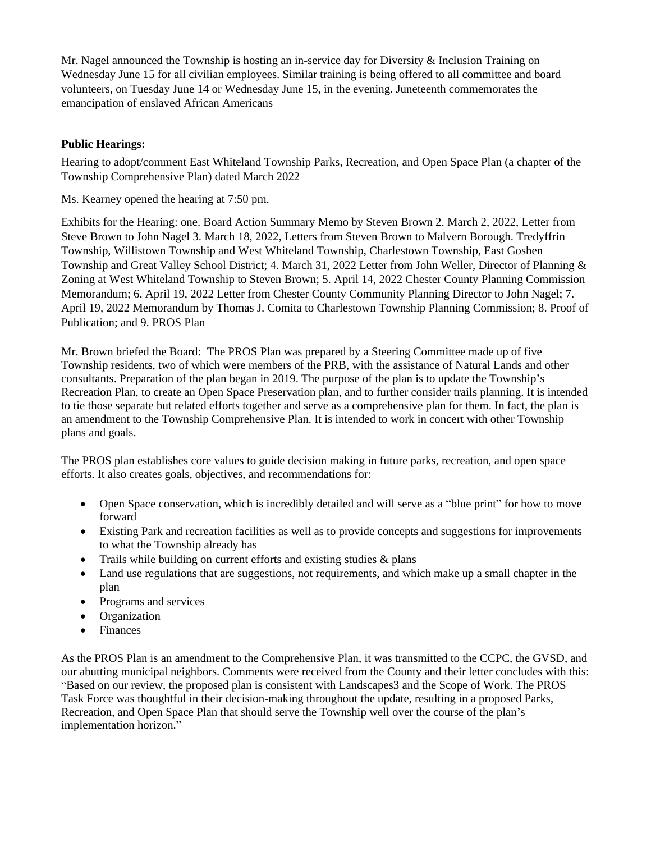Mr. Nagel announced the Township is hosting an in-service day for Diversity  $\&$  Inclusion Training on Wednesday June 15 for all civilian employees. Similar training is being offered to all committee and board volunteers, on Tuesday June 14 or Wednesday June 15, in the evening. Juneteenth commemorates the emancipation of enslaved African Americans

## **Public Hearings:**

Hearing to adopt/comment East Whiteland Township Parks, Recreation, and Open Space Plan (a chapter of the Township Comprehensive Plan) dated March 2022

Ms. Kearney opened the hearing at 7:50 pm.

Exhibits for the Hearing: one. Board Action Summary Memo by Steven Brown 2. March 2, 2022, Letter from Steve Brown to John Nagel 3. March 18, 2022, Letters from Steven Brown to Malvern Borough. Tredyffrin Township, Willistown Township and West Whiteland Township, Charlestown Township, East Goshen Township and Great Valley School District; 4. March 31, 2022 Letter from John Weller, Director of Planning & Zoning at West Whiteland Township to Steven Brown; 5. April 14, 2022 Chester County Planning Commission Memorandum; 6. April 19, 2022 Letter from Chester County Community Planning Director to John Nagel; 7. April 19, 2022 Memorandum by Thomas J. Comita to Charlestown Township Planning Commission; 8. Proof of Publication; and 9. PROS Plan

Mr. Brown briefed the Board: The PROS Plan was prepared by a Steering Committee made up of five Township residents, two of which were members of the PRB, with the assistance of Natural Lands and other consultants. Preparation of the plan began in 2019. The purpose of the plan is to update the Township's Recreation Plan, to create an Open Space Preservation plan, and to further consider trails planning. It is intended to tie those separate but related efforts together and serve as a comprehensive plan for them. In fact, the plan is an amendment to the Township Comprehensive Plan. It is intended to work in concert with other Township plans and goals.

The PROS plan establishes core values to guide decision making in future parks, recreation, and open space efforts. It also creates goals, objectives, and recommendations for:

- Open Space conservation, which is incredibly detailed and will serve as a "blue print" for how to move forward
- Existing Park and recreation facilities as well as to provide concepts and suggestions for improvements to what the Township already has
- Trails while building on current efforts and existing studies & plans
- Land use regulations that are suggestions, not requirements, and which make up a small chapter in the plan
- Programs and services
- Organization
- Finances

As the PROS Plan is an amendment to the Comprehensive Plan, it was transmitted to the CCPC, the GVSD, and our abutting municipal neighbors. Comments were received from the County and their letter concludes with this: "Based on our review, the proposed plan is consistent with Landscapes3 and the Scope of Work. The PROS Task Force was thoughtful in their decision-making throughout the update, resulting in a proposed Parks, Recreation, and Open Space Plan that should serve the Township well over the course of the plan's implementation horizon."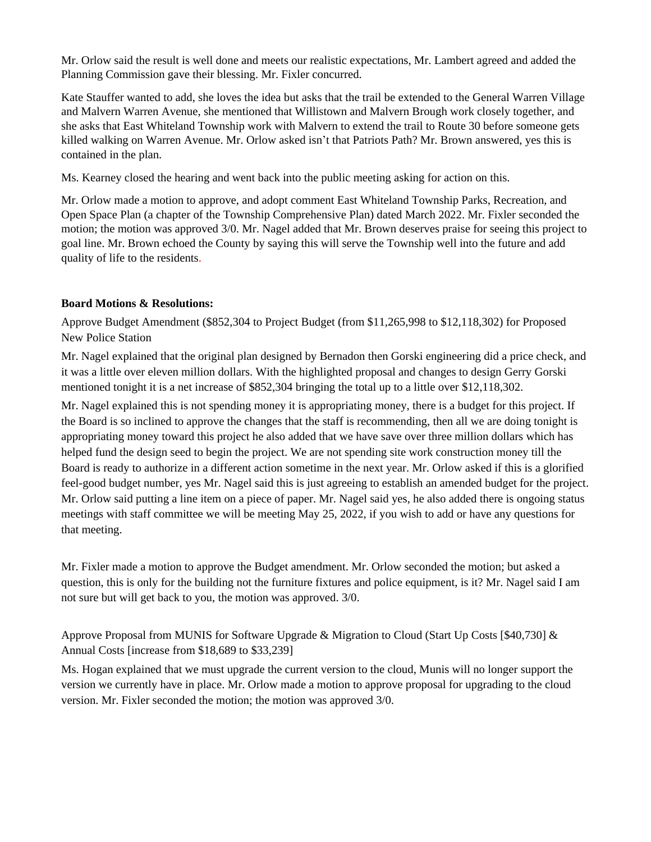Mr. Orlow said the result is well done and meets our realistic expectations, Mr. Lambert agreed and added the Planning Commission gave their blessing. Mr. Fixler concurred.

Kate Stauffer wanted to add, she loves the idea but asks that the trail be extended to the General Warren Village and Malvern Warren Avenue, she mentioned that Willistown and Malvern Brough work closely together, and she asks that East Whiteland Township work with Malvern to extend the trail to Route 30 before someone gets killed walking on Warren Avenue. Mr. Orlow asked isn't that Patriots Path? Mr. Brown answered, yes this is contained in the plan.

Ms. Kearney closed the hearing and went back into the public meeting asking for action on this.

Mr. Orlow made a motion to approve, and adopt comment East Whiteland Township Parks, Recreation, and Open Space Plan (a chapter of the Township Comprehensive Plan) dated March 2022. Mr. Fixler seconded the motion; the motion was approved 3/0. Mr. Nagel added that Mr. Brown deserves praise for seeing this project to goal line. Mr. Brown echoed the County by saying this will serve the Township well into the future and add quality of life to the residents.

#### **Board Motions & Resolutions:**

Approve Budget Amendment (\$852,304 to Project Budget (from \$11,265,998 to \$12,118,302) for Proposed New Police Station

Mr. Nagel explained that the original plan designed by Bernadon then Gorski engineering did a price check, and it was a little over eleven million dollars. With the highlighted proposal and changes to design Gerry Gorski mentioned tonight it is a net increase of \$852,304 bringing the total up to a little over \$12,118,302.

Mr. Nagel explained this is not spending money it is appropriating money, there is a budget for this project. If the Board is so inclined to approve the changes that the staff is recommending, then all we are doing tonight is appropriating money toward this project he also added that we have save over three million dollars which has helped fund the design seed to begin the project. We are not spending site work construction money till the Board is ready to authorize in a different action sometime in the next year. Mr. Orlow asked if this is a glorified feel-good budget number, yes Mr. Nagel said this is just agreeing to establish an amended budget for the project. Mr. Orlow said putting a line item on a piece of paper. Mr. Nagel said yes, he also added there is ongoing status meetings with staff committee we will be meeting May 25, 2022, if you wish to add or have any questions for that meeting.

Mr. Fixler made a motion to approve the Budget amendment. Mr. Orlow seconded the motion; but asked a question, this is only for the building not the furniture fixtures and police equipment, is it? Mr. Nagel said I am not sure but will get back to you, the motion was approved. 3/0.

Approve Proposal from MUNIS for Software Upgrade & Migration to Cloud (Start Up Costs [\$40,730] & Annual Costs [increase from \$18,689 to \$33,239]

Ms. Hogan explained that we must upgrade the current version to the cloud, Munis will no longer support the version we currently have in place. Mr. Orlow made a motion to approve proposal for upgrading to the cloud version. Mr. Fixler seconded the motion; the motion was approved 3/0.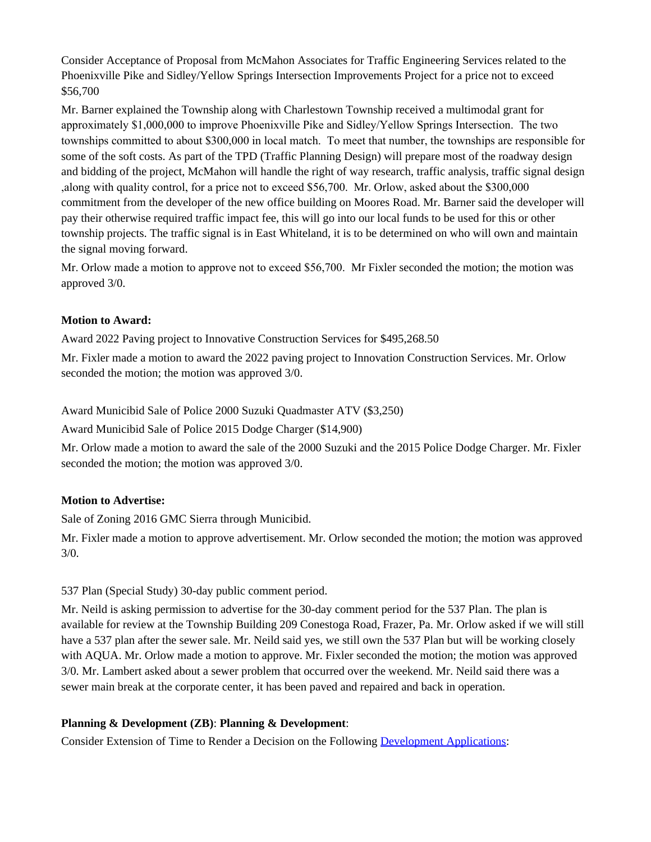Consider Acceptance of Proposal from McMahon Associates for Traffic Engineering Services related to the Phoenixville Pike and Sidley/Yellow Springs Intersection Improvements Project for a price not to exceed \$56,700

Mr. Barner explained the Township along with Charlestown Township received a multimodal grant for approximately \$1,000,000 to improve Phoenixville Pike and Sidley/Yellow Springs Intersection. The two townships committed to about \$300,000 in local match. To meet that number, the townships are responsible for some of the soft costs. As part of the TPD (Traffic Planning Design) will prepare most of the roadway design and bidding of the project, McMahon will handle the right of way research, traffic analysis, traffic signal design ,along with quality control, for a price not to exceed \$56,700. Mr. Orlow, asked about the \$300,000 commitment from the developer of the new office building on Moores Road. Mr. Barner said the developer will pay their otherwise required traffic impact fee, this will go into our local funds to be used for this or other township projects. The traffic signal is in East Whiteland, it is to be determined on who will own and maintain the signal moving forward.

Mr. Orlow made a motion to approve not to exceed \$56,700. Mr Fixler seconded the motion; the motion was approved 3/0.

## **Motion to Award:**

Award 2022 Paving project to Innovative Construction Services for \$495,268.50 Mr. Fixler made a motion to award the 2022 paving project to Innovation Construction Services. Mr. Orlow seconded the motion; the motion was approved 3/0.

Award Municibid Sale of Police 2000 Suzuki Quadmaster ATV (\$3,250)

Award Municibid Sale of Police 2015 Dodge Charger (\$14,900)

Mr. Orlow made a motion to award the sale of the 2000 Suzuki and the 2015 Police Dodge Charger. Mr. Fixler seconded the motion; the motion was approved 3/0.

## **Motion to Advertise:**

Sale of Zoning 2016 GMC Sierra through Municibid.

Mr. Fixler made a motion to approve advertisement. Mr. Orlow seconded the motion; the motion was approved 3/0.

## 537 Plan (Special Study) 30-day public comment period.

Mr. Neild is asking permission to advertise for the 30-day comment period for the 537 Plan. The plan is available for review at the Township Building 209 Conestoga Road, Frazer, Pa. Mr. Orlow asked if we will still have a 537 plan after the sewer sale. Mr. Neild said yes, we still own the 537 Plan but will be working closely with AQUA. Mr. Orlow made a motion to approve. Mr. Fixler seconded the motion; the motion was approved 3/0. Mr. Lambert asked about a sewer problem that occurred over the weekend. Mr. Neild said there was a sewer main break at the corporate center, it has been paved and repaired and back in operation.

## **Planning & Development (ZB)**: **Planning & Development**:

Consider Extension of Time to Render a Decision on the Following [Development Applications](https://www.eastwhiteland.org/305/Land-Developments):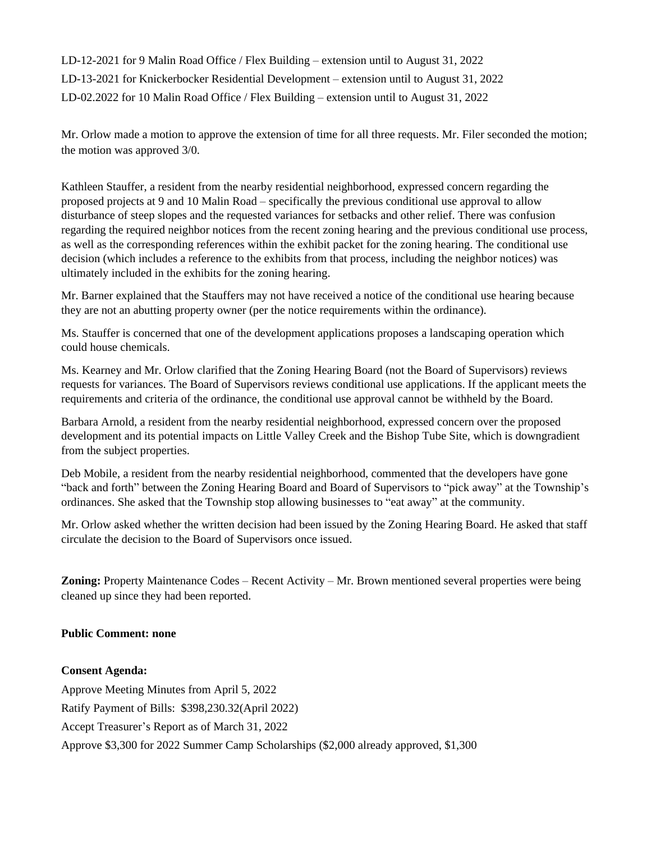LD-12-2021 for 9 Malin Road Office / Flex Building – extension until to August 31, 2022 LD-13-2021 for Knickerbocker Residential Development – extension until to August 31, 2022 LD-02.2022 for 10 Malin Road Office / Flex Building – extension until to August 31, 2022

Mr. Orlow made a motion to approve the extension of time for all three requests. Mr. Filer seconded the motion; the motion was approved 3/0.

Kathleen Stauffer, a resident from the nearby residential neighborhood, expressed concern regarding the proposed projects at 9 and 10 Malin Road – specifically the previous conditional use approval to allow disturbance of steep slopes and the requested variances for setbacks and other relief. There was confusion regarding the required neighbor notices from the recent zoning hearing and the previous conditional use process, as well as the corresponding references within the exhibit packet for the zoning hearing. The conditional use decision (which includes a reference to the exhibits from that process, including the neighbor notices) was ultimately included in the exhibits for the zoning hearing.

Mr. Barner explained that the Stauffers may not have received a notice of the conditional use hearing because they are not an abutting property owner (per the notice requirements within the ordinance).

Ms. Stauffer is concerned that one of the development applications proposes a landscaping operation which could house chemicals.

Ms. Kearney and Mr. Orlow clarified that the Zoning Hearing Board (not the Board of Supervisors) reviews requests for variances. The Board of Supervisors reviews conditional use applications. If the applicant meets the requirements and criteria of the ordinance, the conditional use approval cannot be withheld by the Board.

Barbara Arnold, a resident from the nearby residential neighborhood, expressed concern over the proposed development and its potential impacts on Little Valley Creek and the Bishop Tube Site, which is downgradient from the subject properties.

Deb Mobile, a resident from the nearby residential neighborhood, commented that the developers have gone "back and forth" between the Zoning Hearing Board and Board of Supervisors to "pick away" at the Township's ordinances. She asked that the Township stop allowing businesses to "eat away" at the community.

Mr. Orlow asked whether the written decision had been issued by the Zoning Hearing Board. He asked that staff circulate the decision to the Board of Supervisors once issued.

**Zoning:** Property Maintenance Codes – Recent Activity – Mr. Brown mentioned several properties were being cleaned up since they had been reported.

#### **Public Comment: none**

**Consent Agenda:** Approve Meeting Minutes from April 5, 2022 Ratify Payment of Bills: \$398,230.32(April 2022) Accept Treasurer's Report as of March 31, 2022 Approve \$3,300 for 2022 Summer Camp Scholarships (\$2,000 already approved, \$1,300